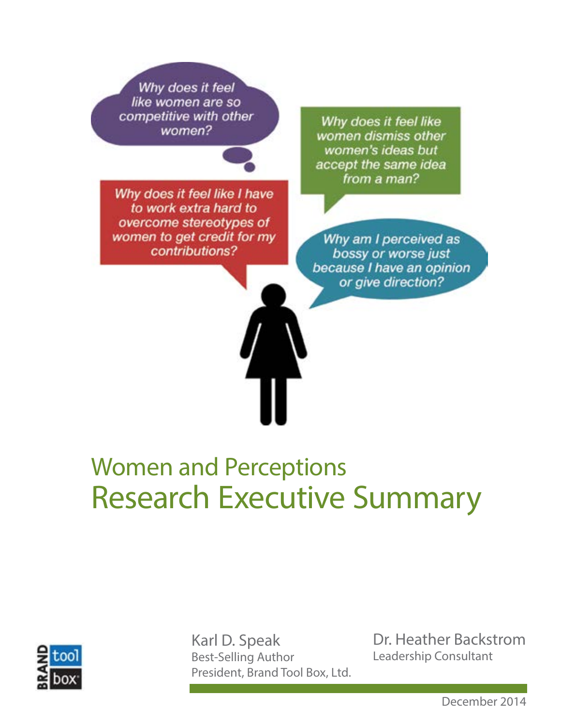Why does it feel like women are so competitive with other women?

Why does it feel like I have to work extra hard to overcome stereotypes of women to get credit for my contributions?

Why does it feel like women dismiss other women's ideas but accept the same idea from a man?

Why am I perceived as bossy or worse just because I have an opinion or give direction?

# Women and Perceptions Research Executive Summary



Karl D. Speak Best-Selling Author President, Brand Tool Box, Ltd.

Dr. Heather Backstrom Leadership Consultant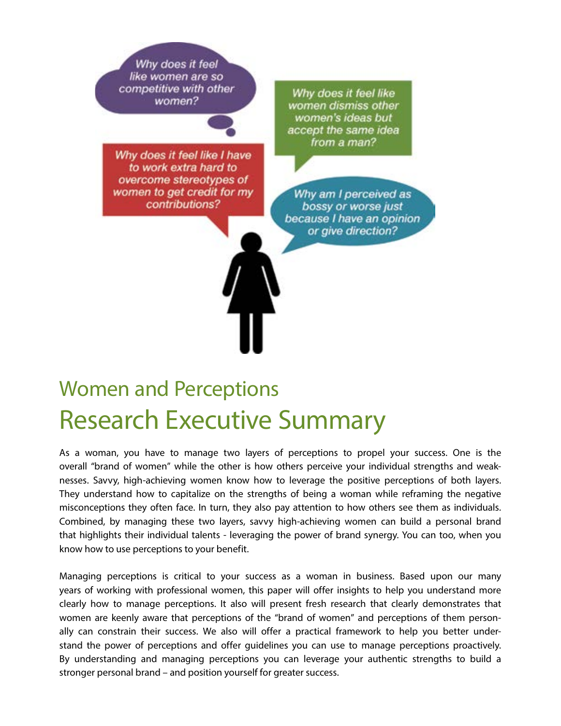Why does it feel like women are so competitive with other women?

Why does it feel like I have to work extra hard to overcome stereotypes of women to get credit for my contributions?

Why does it feel like women dismiss other women's ideas but accept the same idea from a man?

Why am I perceived as bossy or worse just because I have an opinion or give direction?

# Women and Perceptions Research Executive Summary

As a woman, you have to manage two layers of perceptions to propel your success. One is the overall "brand of women" while the other is how others perceive your individual strengths and weaknesses. Savvy, high-achieving women know how to leverage the positive perceptions of both layers. They understand how to capitalize on the strengths of being a woman while reframing the negative misconceptions they often face. In turn, they also pay attention to how others see them as individuals. Combined, by managing these two layers, savvy high-achieving women can build a personal brand that highlights their individual talents - leveraging the power of brand synergy. You can too, when you know how to use perceptions to your benefit.

Managing perceptions is critical to your success as a woman in business. Based upon our many years of working with professional women, this paper will offer insights to help you understand more clearly how to manage perceptions. It also will present fresh research that clearly demonstrates that women are keenly aware that perceptions of the "brand of women" and perceptions of them personally can constrain their success. We also will offer a practical framework to help you better understand the power of perceptions and offer guidelines you can use to manage perceptions proactively. By understanding and managing perceptions you can leverage your authentic strengths to build a stronger personal brand – and position yourself for greater success.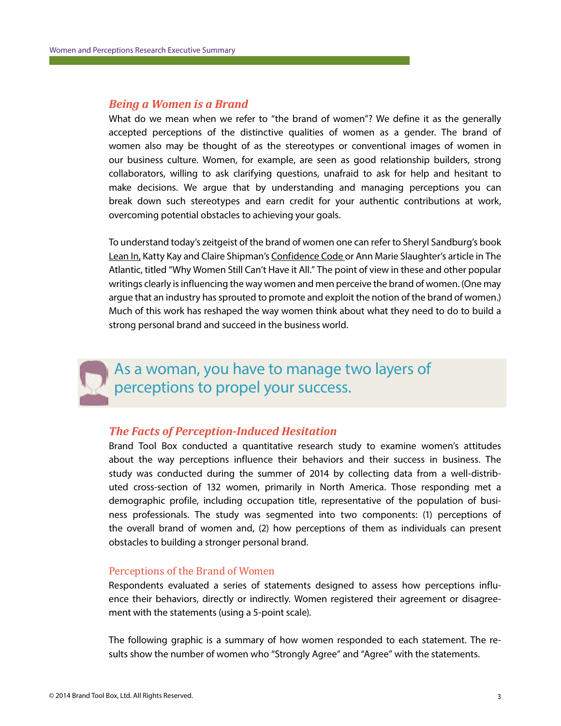### *Being a Women is a Brand*

What do we mean when we refer to "the brand of women"? We define it as the generally accepted perceptions of the distinctive qualities of women as a gender. The brand of women also may be thought of as the stereotypes or conventional images of women in our business culture. Women, for example, are seen as good relationship builders, strong collaborators, willing to ask clarifying questions, unafraid to ask for help and hesitant to make decisions. We argue that by understanding and managing perceptions you can break down such stereotypes and earn credit for your authentic contributions at work, overcoming potential obstacles to achieving your goals.

To understand today's zeitgeist of the brand of women one can refer to Sheryl Sandburg's book Lean In, Katty Kay and Claire Shipman's Confidence Code or Ann Marie Slaughter's article in The Atlantic, titled "Why Women Still Can't Have it All." The point of view in these and other popular writings clearly is influencing the way women and men perceive the brand of women. (One may argue that an industry has sprouted to promote and exploit the notion of the brand of women.) Much of this work has reshaped the way women think about what they need to do to build a strong personal brand and succeed in the business world.



### As a woman, you have to manage two layers of perceptions to propel your success.

### *The Facts of Perception-Induced Hesitation*

Brand Tool Box conducted a quantitative research study to examine women's attitudes about the way perceptions influence their behaviors and their success in business. The study was conducted during the summer of 2014 by collecting data from a well-distributed cross-section of 132 women, primarily in North America. Those responding met a demographic profile, including occupation title, representative of the population of business professionals. The study was segmented into two components: (1) perceptions of the overall brand of women and, (2) how perceptions of them as individuals can present obstacles to building a stronger personal brand.

#### Perceptions of the Brand of Women

Respondents evaluated a series of statements designed to assess how perceptions influence their behaviors, directly or indirectly. Women registered their agreement or disagreement with the statements (using a 5-point scale).

The following graphic is a summary of how women responded to each statement. The results show the number of women who "Strongly Agree" and "Agree" with the statements.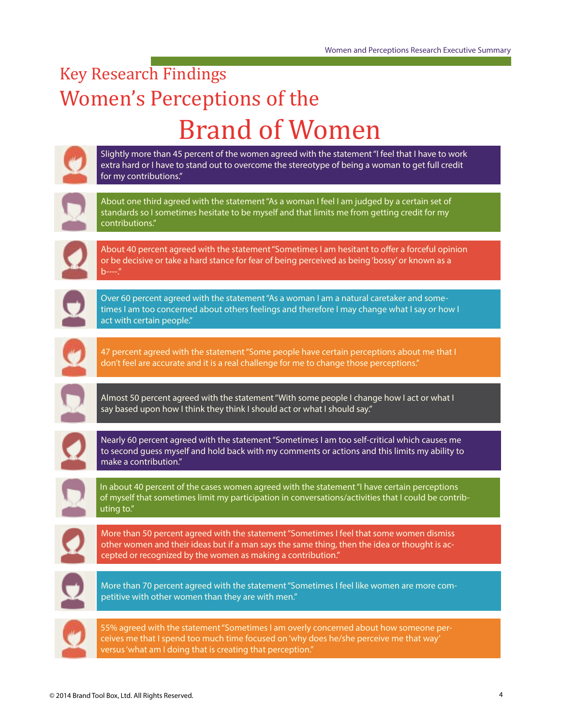## Key Research Findings Women's Perceptions of the Brand of Women

| Slightly more than 45 percent of the women agreed with the statement "I feel that I have to work<br>extra hard or I have to stand out to overcome the stereotype of being a woman to get full credit<br>for my contributions."                            |
|-----------------------------------------------------------------------------------------------------------------------------------------------------------------------------------------------------------------------------------------------------------|
| About one third agreed with the statement "As a woman I feel I am judged by a certain set of<br>standards so I sometimes hesitate to be myself and that limits me from getting credit for my<br>contributions."                                           |
| About 40 percent agreed with the statement "Sometimes I am hesitant to offer a forceful opinion<br>or be decisive or take a hard stance for fear of being perceived as being 'bossy' or known as a<br>b----"                                              |
| Over 60 percent agreed with the statement "As a woman I am a natural caretaker and some-<br>times I am too concerned about others feelings and therefore I may change what I say or how I<br>act with certain people."                                    |
| 47 percent agreed with the statement "Some people have certain perceptions about me that I<br>don't feel are accurate and it is a real challenge for me to change those perceptions."                                                                     |
| Almost 50 percent agreed with the statement "With some people I change how I act or what I<br>say based upon how I think they think I should act or what I should say."                                                                                   |
| Nearly 60 percent agreed with the statement "Sometimes I am too self-critical which causes me<br>to second guess myself and hold back with my comments or actions and this limits my ability to<br>make a contribution."                                  |
| In about 40 percent of the cases women agreed with the statement "I have certain perceptions<br>of myself that sometimes limit my participation in conversations/activities that I could be contrib-<br>uting to."                                        |
| More than 50 percent agreed with the statement "Sometimes I feel that some women dismiss<br>other women and their ideas but if a man says the same thing, then the idea or thought is ac-<br>cepted or recognized by the women as making a contribution." |
| More than 70 percent agreed with the statement "Sometimes I feel like women are more com-<br>petitive with other women than they are with men."                                                                                                           |
| 55% agreed with the statement "Sometimes I am overly concerned about how someone per-<br>ceives me that I spend too much time focused on 'why does he/she perceive me that way'<br>versus 'what am I doing that is creating that perception."             |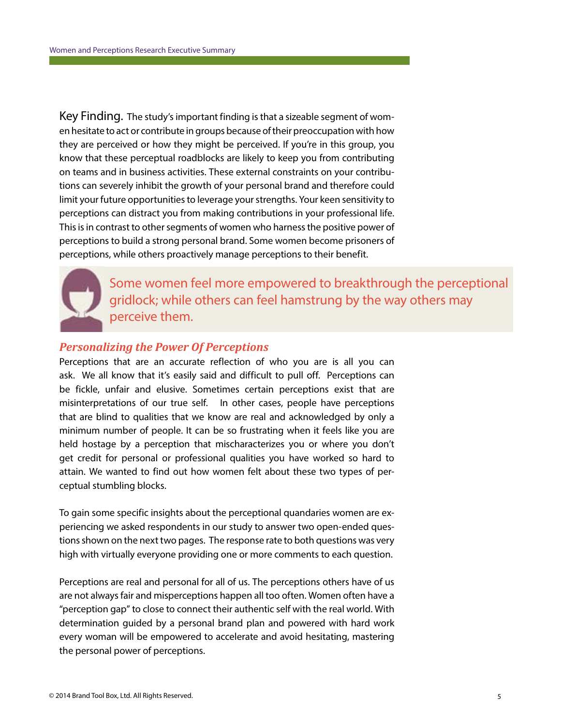Key Finding. The study's important finding is that a sizeable segment of women hesitate to act or contribute in groups because of their preoccupation with how they are perceived or how they might be perceived. If you're in this group, you know that these perceptual roadblocks are likely to keep you from contributing on teams and in business activities. These external constraints on your contributions can severely inhibit the growth of your personal brand and therefore could limit your future opportunities to leverage your strengths. Your keen sensitivity to perceptions can distract you from making contributions in your professional life. This is in contrast to other segments of women who harness the positive power of perceptions to build a strong personal brand. Some women become prisoners of perceptions, while others proactively manage perceptions to their benefit.



Some women feel more empowered to breakthrough the perceptional gridlock; while others can feel hamstrung by the way others may perceive them.

### *Personalizing the Power Of Perceptions*

Perceptions that are an accurate reflection of who you are is all you can ask. We all know that it's easily said and difficult to pull off. Perceptions can be fickle, unfair and elusive. Sometimes certain perceptions exist that are misinterpretations of our true self. In other cases, people have perceptions that are blind to qualities that we know are real and acknowledged by only a minimum number of people. It can be so frustrating when it feels like you are held hostage by a perception that mischaracterizes you or where you don't get credit for personal or professional qualities you have worked so hard to attain. We wanted to find out how women felt about these two types of perceptual stumbling blocks.

To gain some specific insights about the perceptional quandaries women are experiencing we asked respondents in our study to answer two open-ended questions shown on the next two pages. The response rate to both questions was very high with virtually everyone providing one or more comments to each question.

Perceptions are real and personal for all of us. The perceptions others have of us are not always fair and misperceptions happen all too often. Women often have a "perception gap" to close to connect their authentic self with the real world. With determination guided by a personal brand plan and powered with hard work every woman will be empowered to accelerate and avoid hesitating, mastering the personal power of perceptions.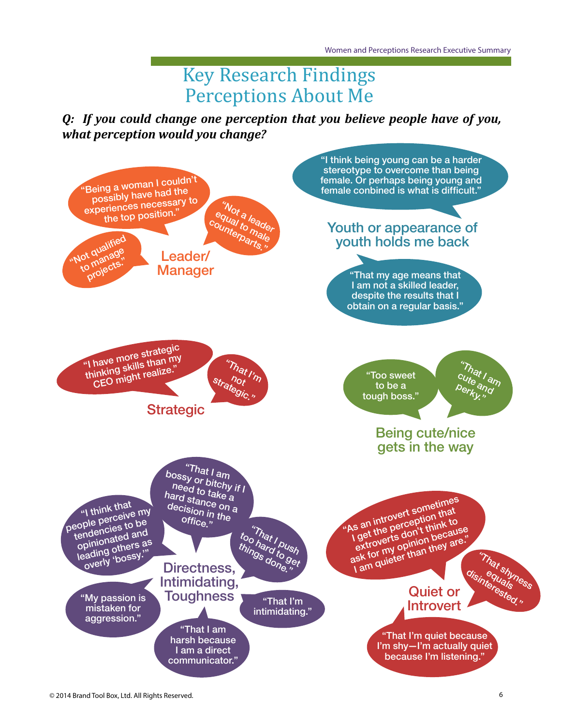## Perceptions About Me Key Research Findings

*Q: If you could change one perception that you believe people have of you, what perception would you change?*

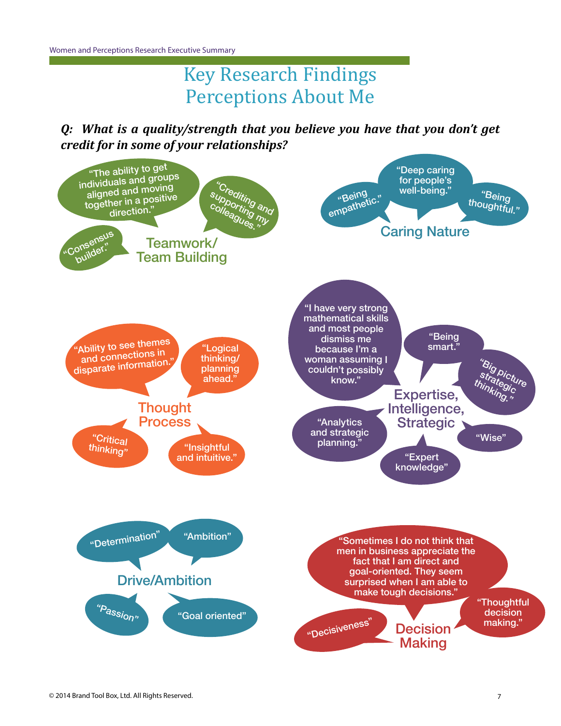## Perceptions About Me Key Research Findings

*Q: What is a quality/strength that you believe you have that you don't get credit for in some of your relationships?*

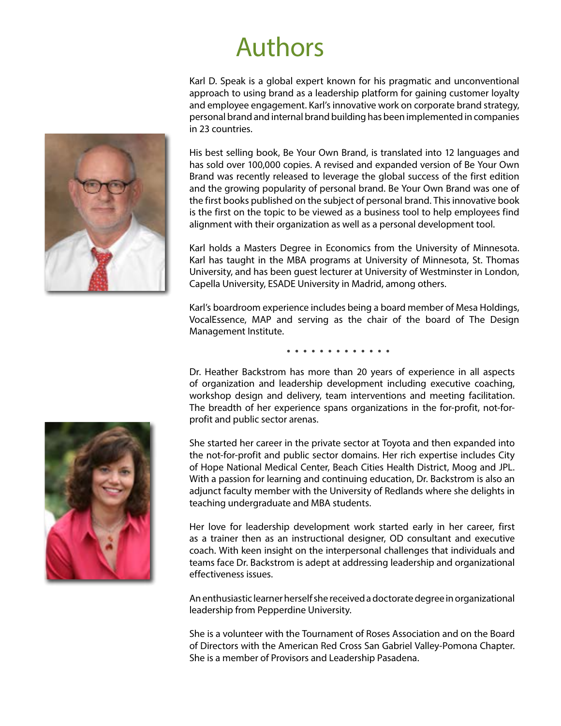# Authors

Karl D. Speak is a global expert known for his pragmatic and unconventional approach to using brand as a leadership platform for gaining customer loyalty and employee engagement. Karl's innovative work on corporate brand strategy, personal brand and internal brand building has been implemented in companies in 23 countries.

His best selling book, Be Your Own Brand, is translated into 12 languages and has sold over 100,000 copies. A revised and expanded version of Be Your Own Brand was recently released to leverage the global success of the first edition and the growing popularity of personal brand. Be Your Own Brand was one of the first books published on the subject of personal brand. This innovative book is the first on the topic to be viewed as a business tool to help employees find alignment with their organization as well as a personal development tool.

Karl holds a Masters Degree in Economics from the University of Minnesota. Karl has taught in the MBA programs at University of Minnesota, St. Thomas University, and has been guest lecturer at University of Westminster in London, Capella University, ESADE University in Madrid, among others.

Karl's boardroom experience includes being a board member of Mesa Holdings, VocalEssence, MAP and serving as the chair of the board of The Design Management Institute.

Dr. Heather Backstrom has more than 20 years of experience in all aspects of organization and leadership development including executive coaching, workshop design and delivery, team interventions and meeting facilitation. The breadth of her experience spans organizations in the for-profit, not-forprofit and public sector arenas.

She started her career in the private sector at Toyota and then expanded into the not-for-profit and public sector domains. Her rich expertise includes City of Hope National Medical Center, Beach Cities Health District, Moog and JPL. With a passion for learning and continuing education, Dr. Backstrom is also an adjunct faculty member with the University of Redlands where she delights in teaching undergraduate and MBA students.

Her love for leadership development work started early in her career, first as a trainer then as an instructional designer, OD consultant and executive coach. With keen insight on the interpersonal challenges that individuals and teams face Dr. Backstrom is adept at addressing leadership and organizational effectiveness issues.

An enthusiastic learner herself she received a doctorate degree in organizational leadership from Pepperdine University.

She is a volunteer with the Tournament of Roses Association and on the Board of Directors with the American Red Cross San Gabriel Valley-Pomona Chapter. She is a member of Provisors and Leadership Pasadena.